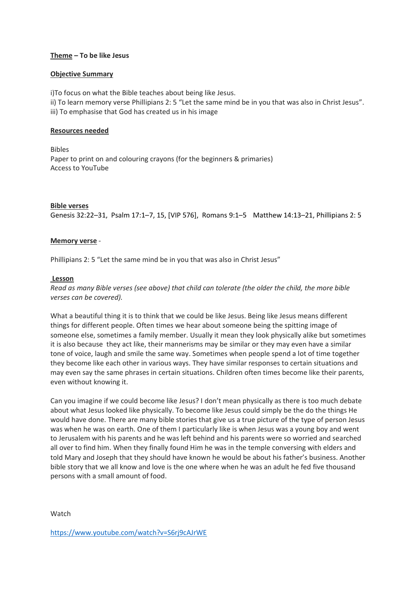# **Theme – To be like Jesus**

# **Objective Summary**

i)To focus on what the Bible teaches about being like Jesus. ii) To learn memory verse Phillipians 2: 5 "Let the same mind be in you that was also in Christ Jesus". iii) To emphasise that God has created us in his image

# **Resources needed**

Bibles Paper to print on and colouring crayons (for the beginners & primaries) Access to YouTube

# **Bible verses**

Genesis 32:22–31, Psalm 17:1–7, 15, [VIP 576], Romans 9:1–5 Matthew 14:13–21, Phillipians 2: 5

# **Memory verse** -

Phillipians 2: 5 "Let the same mind be in you that was also in Christ Jesus"

# **Lesson**

*Read as many Bible verses (see above) that child can tolerate (the older the child, the more bible verses can be covered).*

What a beautiful thing it is to think that we could be like Jesus. Being like Jesus means different things for different people. Often times we hear about someone being the spitting image of someone else, sometimes a family member. Usually it mean they look physically alike but sometimes it is also because they act like, their mannerisms may be similar or they may even have a similar tone of voice, laugh and smile the same way. Sometimes when people spend a lot of time together they become like each other in various ways. They have similar responses to certain situations and may even say the same phrases in certain situations. Children often times become like their parents, even without knowing it.

Can you imagine if we could become like Jesus? I don't mean physically as there is too much debate about what Jesus looked like physically. To become like Jesus could simply be the do the things He would have done. There are many bible stories that give us a true picture of the type of person Jesus was when he was on earth. One of them I particularly like is when Jesus was a young boy and went to Jerusalem with his parents and he was left behind and his parents were so worried and searched all over to find him. When they finally found Him he was in the temple conversing with elders and told Mary and Joseph that they should have known he would be about his father's business. Another bible story that we all know and love is the one where when he was an adult he fed five thousand persons with a small amount of food.

Watch

<https://www.youtube.com/watch?v=S6rj9cAJrWE>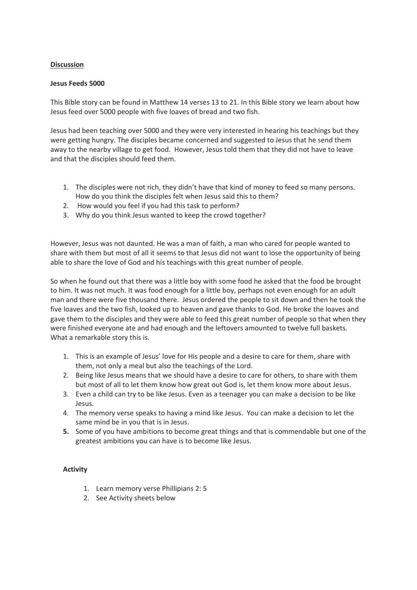# **Discussion**

# **Jesus Feeds 5000**

This Bible story can be found in Matthew 14 verses 13 to 21. In this Bible story we learn about how Jesus feed over 5000 people with five loaves of bread and two fish.

Jesus had been teaching over 5000 and they were very interested in hearing his teachings but they were getting hungry. The disciples became concerned and suggested to Jesus that he send them away to the nearby village to get food. However, Jesus told them that they did not have to leave and that the disciples should feed them.

- 1. The disciples were not rich, they didn't have that kind of money to feed so many persons. How do you think the disciples felt when Jesus said this to them?
- 2. How would you feel if you had this task to perform?
- 3. Why do you think Jesus wanted to keep the crowd together?

However, Jesus was not daunted. He was a man of faith, a man who cared for people wanted to share with them but most of all it seems to that Jesus did not want to lose the opportunity of being able to share the love of God and his teachings with this great number of people.

So when he found out that there was a little boy with some food he asked that the food be brought to him. It was not much. It was food enough for a little boy, perhaps not even enough for an adult man and there were five thousand there. Jesus ordered the people to sit down and then he took the five loaves and the two fish, looked up to heaven and gave thanks to God. He broke the loaves and gave them to the disciples and they were able to feed this great number of people so that when they were finished everyone ate and had enough and the leftovers amounted to twelve full baskets. What a remarkable story this is.

- 1. This is an example of Jesus' love for His people and a desire to care for them, share with them, not only a meal but also the teachings of the Lord.
- 2. Being like Jesus means that we should have a desire to care for others, to share with them but most of all to let them know how great out God is, let them know more about Jesus.
- 3. Even a child can try to be like Jesus. Even as a teenager you can make a decision to be like Jesus.
- 4. The memory verse speaks to having a mind like Jesus. You can make a decision to let the same mind be in you that is in Jesus.
- **5.** Some of you have ambitions to become great things and that is commendable but one of the greatest ambitions you can have is to become like Jesus.

# **Activity**

- 1. Learn memory verse Phillipians 2: 5
- 2. See Activity sheets below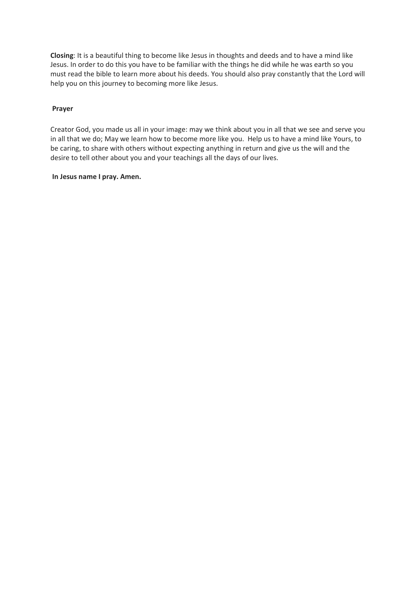**Closing**: It is a beautiful thing to become like Jesus in thoughts and deeds and to have a mind like Jesus. In order to do this you have to be familiar with the things he did while he was earth so you must read the bible to learn more about his deeds. You should also pray constantly that the Lord will help you on this journey to becoming more like Jesus.

#### **Prayer**

Creator God, you made us all in your image: may we think about you in all that we see and serve you in all that we do; May we learn how to become more like you. Help us to have a mind like Yours, to be caring, to share with others without expecting anything in return and give us the will and the desire to tell other about you and your teachings all the days of our lives.

#### **In Jesus name I pray. Amen.**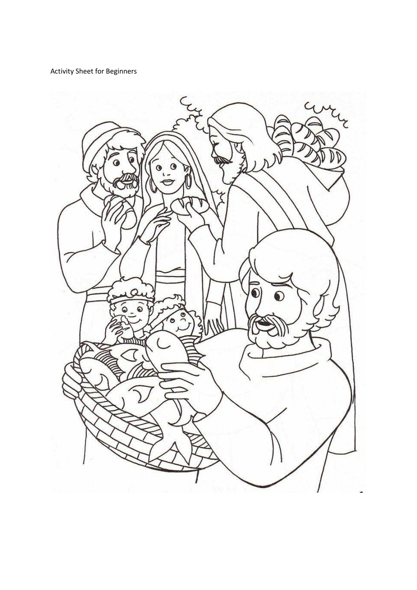Activity Sheet for Beginners